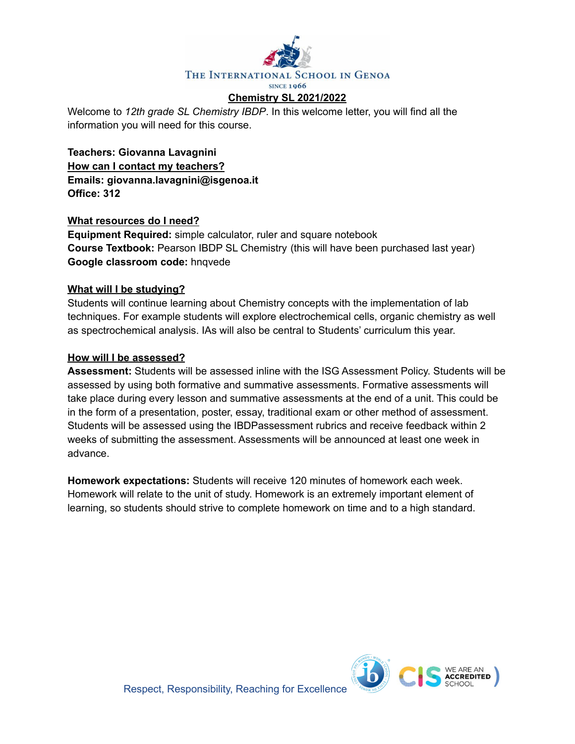

Welcome to *12th grade SL Chemistry IBDP*. In this welcome letter, you will find all the information you will need for this course.

**Teachers: Giovanna Lavagnini How can I contact my teachers? Emails: giovanna.lavagnini@isgenoa.it Office: 312**

## **What resources do I need?**

**Equipment Required:** simple calculator, ruler and square notebook **Course Textbook:** Pearson IBDP SL Chemistry (this will have been purchased last year) **Google classroom code:** hnqvede

## **What will I be studying?**

Students will continue learning about Chemistry concepts with the implementation of lab techniques. For example students will explore electrochemical cells, organic chemistry as well as spectrochemical analysis. IAs will also be central to Students' curriculum this year.

## **How will I be assessed?**

**Assessment:** Students will be assessed inline with the ISG Assessment Policy. Students will be assessed by using both formative and summative assessments. Formative assessments will take place during every lesson and summative assessments at the end of a unit. This could be in the form of a presentation, poster, essay, traditional exam or other method of assessment. Students will be assessed using the IBDPassessment rubrics and receive feedback within 2 weeks of submitting the assessment. Assessments will be announced at least one week in advance.

**Homework expectations:** Students will receive 120 minutes of homework each week. Homework will relate to the unit of study. Homework is an extremely important element of learning, so students should strive to complete homework on time and to a high standard.

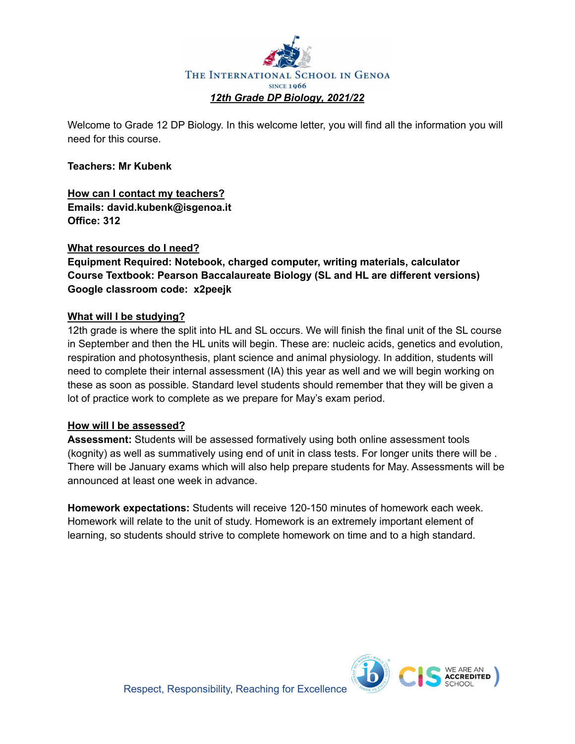

Welcome to Grade 12 DP Biology. In this welcome letter, you will find all the information you will need for this course.

## **Teachers: Mr Kubenk**

**How can I contact my teachers? Emails: david.kubenk@isgenoa.it Office: 312**

## **What resources do I need?**

**Equipment Required: Notebook, charged computer, writing materials, calculator Course Textbook: Pearson Baccalaureate Biology (SL and HL are different versions) Google classroom code: x2peejk**

## **What will I be studying?**

12th grade is where the split into HL and SL occurs. We will finish the final unit of the SL course in September and then the HL units will begin. These are: nucleic acids, genetics and evolution, respiration and photosynthesis, plant science and animal physiology. In addition, students will need to complete their internal assessment (IA) this year as well and we will begin working on these as soon as possible. Standard level students should remember that they will be given a lot of practice work to complete as we prepare for May's exam period.

## **How will I be assessed?**

**Assessment:** Students will be assessed formatively using both online assessment tools (kognity) as well as summatively using end of unit in class tests. For longer units there will be . There will be January exams which will also help prepare students for May. Assessments will be announced at least one week in advance.

**Homework expectations:** Students will receive 120-150 minutes of homework each week. Homework will relate to the unit of study. Homework is an extremely important element of learning, so students should strive to complete homework on time and to a high standard.

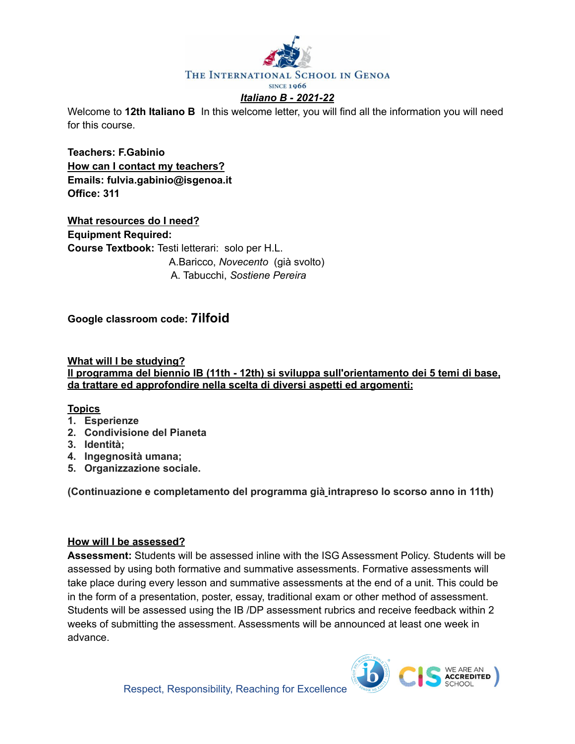

Welcome to **12th Italiano B** In this welcome letter, you will find all the information you will need for this course.

**Teachers: F.Gabinio How can I contact my teachers? Emails: fulvia.gabinio@isgenoa.it Office: 311**

**What resources do I need? Equipment Required: Course Textbook:** Testi letterari: solo per H.L. A.Baricco, *Novecento* (già svolto) A. Tabucchi, *Sostiene Pereira*

**Google classroom code: 7ilfoid**

**What will I be studying? Il programma del biennio IB (11th - 12th) si sviluppa sull'orientamento dei 5 temi di base, da trattare ed approfondire nella scelta di diversi aspetti ed argomenti:**

### **Topics**

- **1. Esperienze**
- **2. Condivisione del Pianeta**
- **3. Identità;**
- **4. Ingegnosità umana;**
- **5. Organizzazione sociale.**

**(Continuazione e completamento del programma già intrapreso lo scorso anno in 11th)**

## **How will I be assessed?**

**Assessment:** Students will be assessed inline with the ISG Assessment Policy. Students will be assessed by using both formative and summative assessments. Formative assessments will take place during every lesson and summative assessments at the end of a unit. This could be in the form of a presentation, poster, essay, traditional exam or other method of assessment. Students will be assessed using the IB /DP assessment rubrics and receive feedback within 2 weeks of submitting the assessment. Assessments will be announced at least one week in advance.

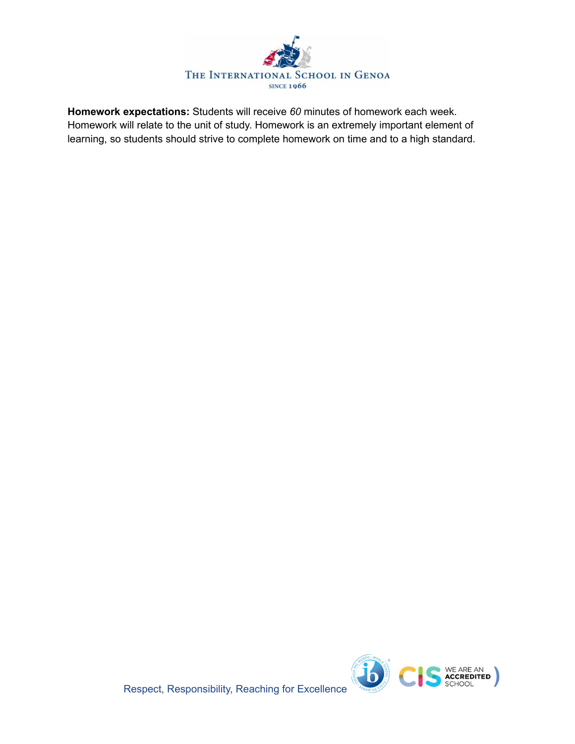

**Homework expectations:** Students will receive *60* minutes of homework each week. Homework will relate to the unit of study. Homework is an extremely important element of learning, so students should strive to complete homework on time and to a high standard.



Respect, Responsibility, Reaching for Excellence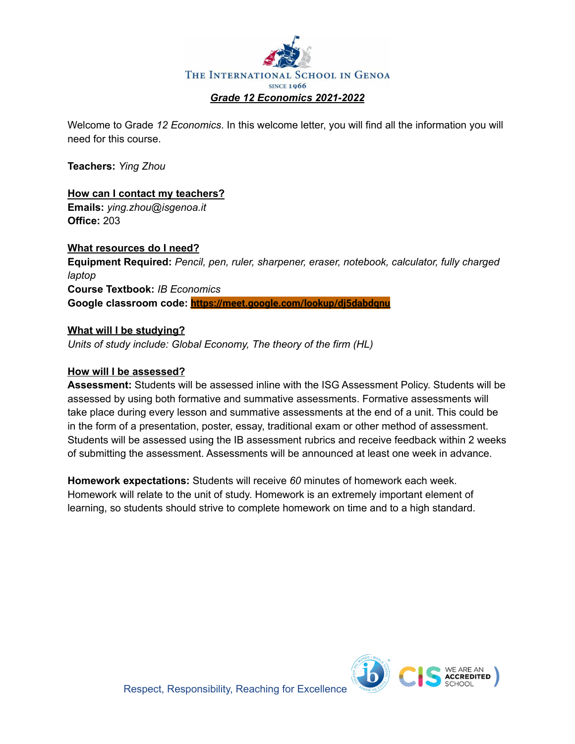

Welcome to Grade *12 Economics*. In this welcome letter, you will find all the information you will need for this course.

**Teachers:** *Ying Zhou*

# **How can I contact my teachers?**

**Emails:** *ying.zhou@isgenoa.it* **Office:** 203

## **What resources do I need?**

**Equipment Required:** *Pencil, pen, ruler, sharpener, eraser, notebook, calculator, fully charged laptop* **Course Textbook:** *IB Economics* **Google classroom code: <https://meet.google.com/lookup/dj5dabdqnu>**

## **What will I be studying?**

*Units of study include: Global Economy, The theory of the firm (HL)*

## **How will I be assessed?**

**Assessment:** Students will be assessed inline with the ISG Assessment Policy. Students will be assessed by using both formative and summative assessments. Formative assessments will take place during every lesson and summative assessments at the end of a unit. This could be in the form of a presentation, poster, essay, traditional exam or other method of assessment. Students will be assessed using the IB assessment rubrics and receive feedback within 2 weeks of submitting the assessment. Assessments will be announced at least one week in advance.

**Homework expectations:** Students will receive *60* minutes of homework each week. Homework will relate to the unit of study. Homework is an extremely important element of learning, so students should strive to complete homework on time and to a high standard.

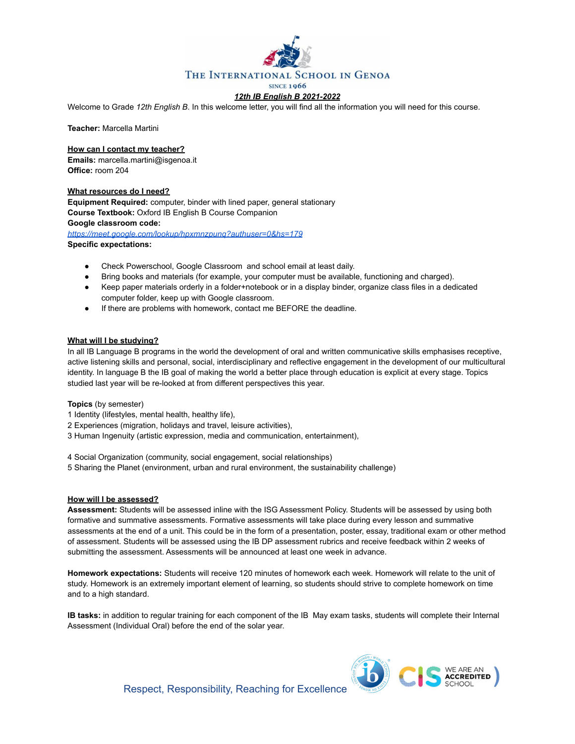

#### *12th IB English B 2021-2022*

Welcome to Grade *12th English B*. In this welcome letter, you will find all the information you will need for this course.

**Teacher:** Marcella Martini

**How can I contact my teacher?**

**Emails:** marcella.martini@isgenoa.it **Office:** room 204

#### **What resources do I need?**

**Equipment Required:** computer, binder with lined paper, general stationary **Course Textbook:** Oxford IB English B Course Companion **Google classroom code:** *<https://meet.google.com/lookup/hpxmnzpunq?authuser=0&hs=179>*

**Specific expectations:**

- Check Powerschool, Google Classroom and school email at least daily.
- Bring books and materials (for example, your computer must be available, functioning and charged).
- Keep paper materials orderly in a folder+notebook or in a display binder, organize class files in a dedicated computer folder, keep up with Google classroom.
- If there are problems with homework, contact me BEFORE the deadline.

#### **What will I be studying?**

In all IB Language B programs in the world the development of oral and written communicative skills emphasises receptive, active listening skills and personal, social, interdisciplinary and reflective engagement in the development of our multicultural identity. In language B the IB goal of making the world a better place through education is explicit at every stage. Topics studied last year will be re-looked at from different perspectives this year.

#### **Topics** (by semester)

- 1 Identity (lifestyles, mental health, healthy life),
- 2 Experiences (migration, holidays and travel, leisure activities),
- 3 Human Ingenuity (artistic expression, media and communication, entertainment),

4 Social Organization (community, social engagement, social relationships)

5 Sharing the Planet (environment, urban and rural environment, the sustainability challenge)

#### **How will I be assessed?**

**Assessment:** Students will be assessed inline with the ISG Assessment Policy. Students will be assessed by using both formative and summative assessments. Formative assessments will take place during every lesson and summative assessments at the end of a unit. This could be in the form of a presentation, poster, essay, traditional exam or other method of assessment. Students will be assessed using the IB DP assessment rubrics and receive feedback within 2 weeks of submitting the assessment. Assessments will be announced at least one week in advance.

**Homework expectations:** Students will receive 120 minutes of homework each week. Homework will relate to the unit of study. Homework is an extremely important element of learning, so students should strive to complete homework on time and to a high standard.

**IB tasks:** in addition to regular training for each component of the IB May exam tasks, students will complete their Internal Assessment (Individual Oral) before the end of the solar year.



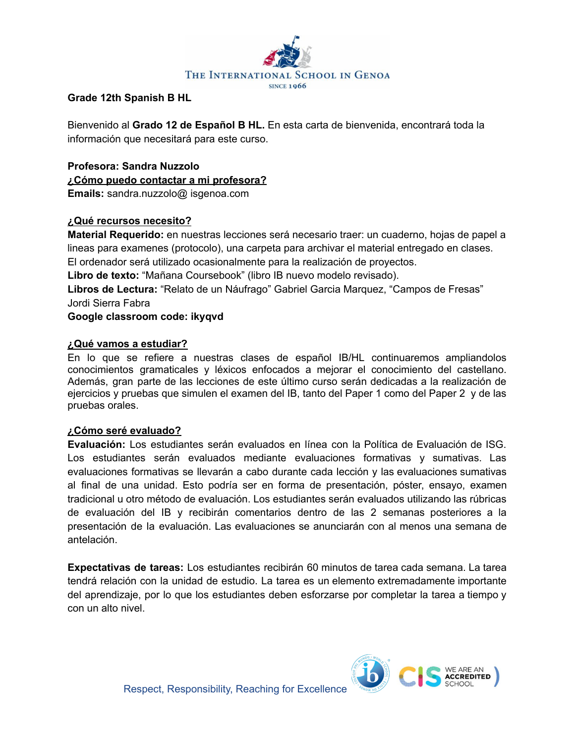

## **Grade 12th Spanish B HL**

Bienvenido al **Grado 12 de Español B HL.** En esta carta de bienvenida, encontrará toda la información que necesitará para este curso.

**Profesora: Sandra Nuzzolo ¿Cómo puedo contactar a mi profesora? Emails:** sandra.nuzzolo@ isgenoa.com

## **¿Qué recursos necesito?**

**Material Requerido:** en nuestras lecciones será necesario traer: un cuaderno, hojas de papel a lineas para examenes (protocolo), una carpeta para archivar el material entregado en clases. El ordenador será utilizado ocasionalmente para la realización de proyectos.

**Libro de texto:** "Mañana Coursebook" (libro IB nuevo modelo revisado).

**Libros de Lectura:** "Relato de un Náufrago" Gabriel Garcia Marquez, "Campos de Fresas" Jordi Sierra Fabra

**Google classroom code: ikyqvd**

## **¿Qué vamos a estudiar?**

En lo que se refiere a nuestras clases de español IB/HL continuaremos ampliandolos conocimientos gramaticales y léxicos enfocados a mejorar el conocimiento del castellano. Además, gran parte de las lecciones de este último curso serán dedicadas a la realización de ejercicios y pruebas que simulen el examen del IB, tanto del Paper 1 como del Paper 2 y de las pruebas orales.

## **¿Cómo seré evaluado?**

**Evaluación:** Los estudiantes serán evaluados en línea con la Política de Evaluación de ISG. Los estudiantes serán evaluados mediante evaluaciones formativas y sumativas. Las evaluaciones formativas se llevarán a cabo durante cada lección y las evaluaciones sumativas al final de una unidad. Esto podría ser en forma de presentación, póster, ensayo, examen tradicional u otro método de evaluación. Los estudiantes serán evaluados utilizando las rúbricas de evaluación del IB y recibirán comentarios dentro de las 2 semanas posteriores a la presentación de la evaluación. Las evaluaciones se anunciarán con al menos una semana de antelación.

**Expectativas de tareas:** Los estudiantes recibirán 60 minutos de tarea cada semana. La tarea tendrá relación con la unidad de estudio. La tarea es un elemento extremadamente importante del aprendizaje, por lo que los estudiantes deben esforzarse por completar la tarea a tiempo y con un alto nivel.

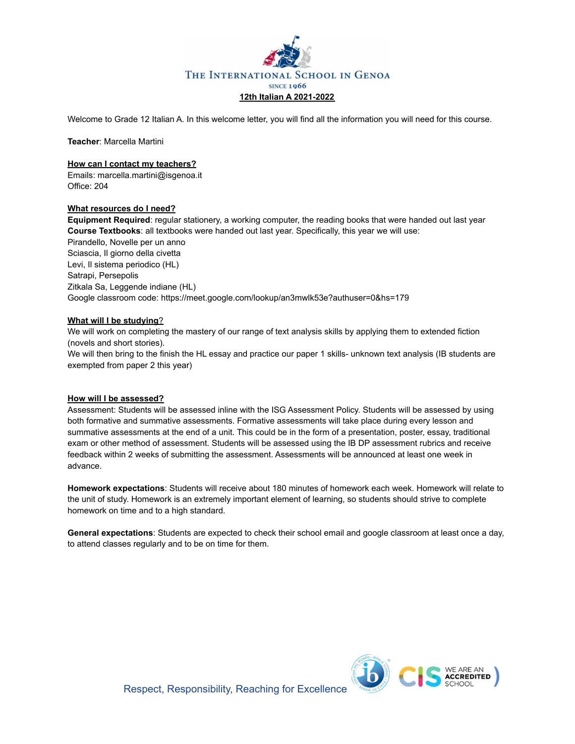

Welcome to Grade 12 Italian A. In this welcome letter, you will find all the information you will need for this course.

**Teacher**: Marcella Martini

#### **How can I contact my teachers?**

Emails: marcella.martini@isgenoa.it Office: 204

#### **What resources do I need?**

**Equipment Required**: regular stationery, a working computer, the reading books that were handed out last year **Course Textbooks**: all textbooks were handed out last year. Specifically, this year we will use: Pirandello, Novelle per un anno Sciascia, Il giorno della civetta Levi, Il sistema periodico (HL) Satrapi, Persepolis Zitkala Sa, Leggende indiane (HL) Google classroom code: https://meet.google.com/lookup/an3mwlk53e?authuser=0&hs=179

#### **What will I be studying**?

We will work on completing the mastery of our range of text analysis skills by applying them to extended fiction (novels and short stories).

We will then bring to the finish the HL essay and practice our paper 1 skills- unknown text analysis (IB students are exempted from paper 2 this year)

#### **How will I be assessed?**

Assessment: Students will be assessed inline with the ISG Assessment Policy. Students will be assessed by using both formative and summative assessments. Formative assessments will take place during every lesson and summative assessments at the end of a unit. This could be in the form of a presentation, poster, essay, traditional exam or other method of assessment. Students will be assessed using the IB DP assessment rubrics and receive feedback within 2 weeks of submitting the assessment. Assessments will be announced at least one week in advance.

**Homework expectations**: Students will receive about 180 minutes of homework each week. Homework will relate to the unit of study. Homework is an extremely important element of learning, so students should strive to complete homework on time and to a high standard.

**General expectations**: Students are expected to check their school email and google classroom at least once a day, to attend classes regularly and to be on time for them.

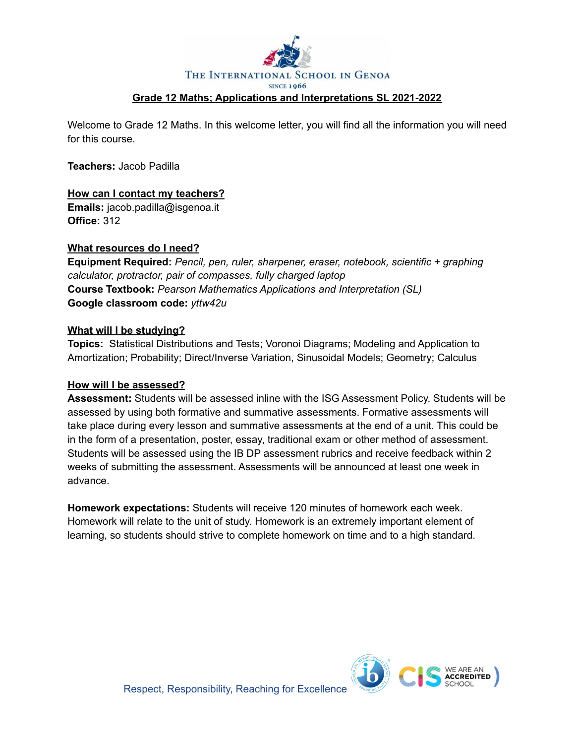

Welcome to Grade 12 Maths. In this welcome letter, you will find all the information you will need for this course.

**Teachers:** Jacob Padilla

## **How can I contact my teachers?**

**Emails:** jacob.padilla@isgenoa.it **Office:** 312

## **What resources do I need?**

**Equipment Required:** *Pencil, pen, ruler, sharpener, eraser, notebook, scientific + graphing calculator, protractor, pair of compasses, fully charged laptop* **Course Textbook:** *Pearson Mathematics Applications and Interpretation (SL)* **Google classroom code:** *yttw42u*

### **What will I be studying?**

**Topics:** Statistical Distributions and Tests; Voronoi Diagrams; Modeling and Application to Amortization; Probability; Direct/Inverse Variation, Sinusoidal Models; Geometry; Calculus

## **How will I be assessed?**

**Assessment:** Students will be assessed inline with the ISG Assessment Policy. Students will be assessed by using both formative and summative assessments. Formative assessments will take place during every lesson and summative assessments at the end of a unit. This could be in the form of a presentation, poster, essay, traditional exam or other method of assessment. Students will be assessed using the IB DP assessment rubrics and receive feedback within 2 weeks of submitting the assessment. Assessments will be announced at least one week in advance.

**Homework expectations:** Students will receive 120 minutes of homework each week. Homework will relate to the unit of study. Homework is an extremely important element of learning, so students should strive to complete homework on time and to a high standard.

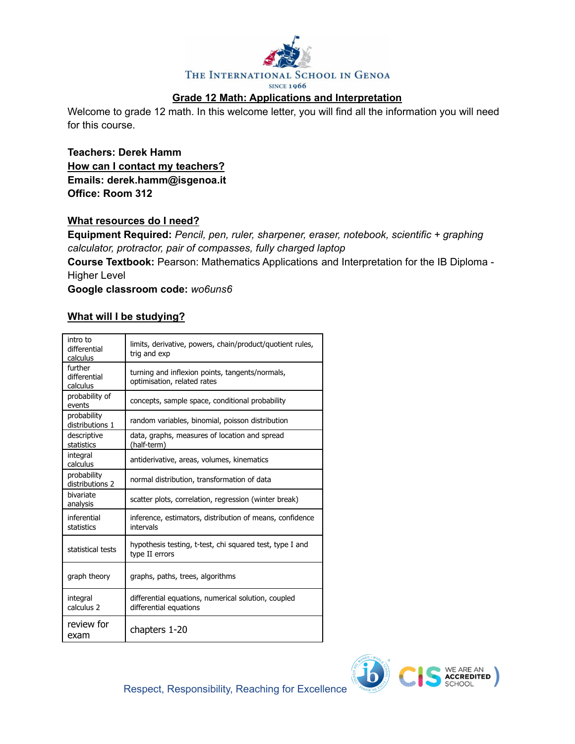

## **Grade 12 Math: Applications and Interpretation**

Welcome to grade 12 math. In this welcome letter, you will find all the information you will need for this course.

**Teachers: Derek Hamm How can I contact my teachers? Emails: derek.hamm@isgenoa.it Office: Room 312**

### **What resources do I need?**

**Equipment Required:** *Pencil, pen, ruler, sharpener, eraser, notebook, scientific + graphing calculator, protractor, pair of compasses, fully charged laptop*

**Course Textbook:** Pearson: Mathematics Applications and Interpretation for the IB Diploma - Higher Level

**Google classroom code:** *wo6uns6*

## **What will I be studying?**

| intro to<br>differential<br>calculus | limits, derivative, powers, chain/product/quotient rules,<br>trig and exp      |
|--------------------------------------|--------------------------------------------------------------------------------|
| further<br>differential<br>calculus  | turning and inflexion points, tangents/normals,<br>optimisation, related rates |
| probability of<br>events             | concepts, sample space, conditional probability                                |
| probability<br>distributions 1       | random variables, binomial, poisson distribution                               |
| descriptive<br>statistics            | data, graphs, measures of location and spread<br>(half-term)                   |
| integral<br>calculus                 | antiderivative, areas, volumes, kinematics                                     |
| probability<br>distributions 2       | normal distribution, transformation of data                                    |
| bivariate<br>analysis                | scatter plots, correlation, regression (winter break)                          |
| inferential<br>statistics            | inference, estimators, distribution of means, confidence<br>intervals          |
| statistical tests                    | hypothesis testing, t-test, chi squared test, type I and<br>type II errors     |
| graph theory                         | graphs, paths, trees, algorithms                                               |
| integral<br>calculus 2               | differential equations, numerical solution, coupled<br>differential equations  |
| review for<br>exam                   | chapters 1-20                                                                  |

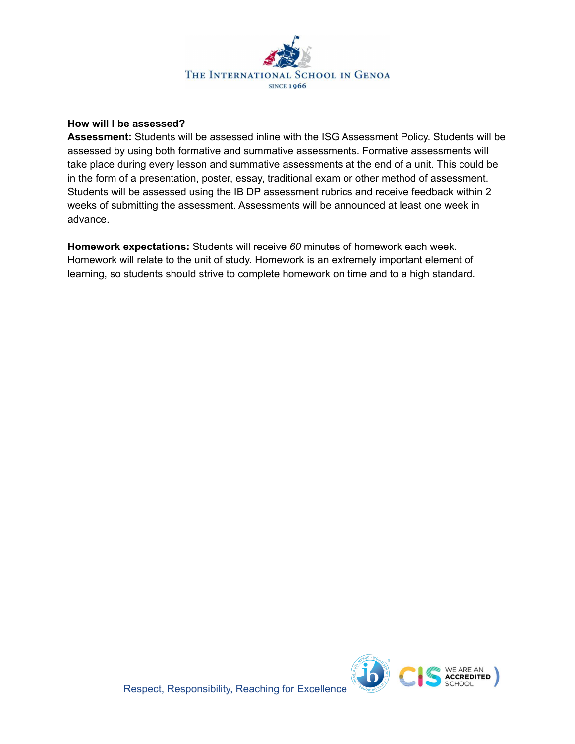

### **How will I be assessed?**

**Assessment:** Students will be assessed inline with the ISG Assessment Policy. Students will be assessed by using both formative and summative assessments. Formative assessments will take place during every lesson and summative assessments at the end of a unit. This could be in the form of a presentation, poster, essay, traditional exam or other method of assessment. Students will be assessed using the IB DP assessment rubrics and receive feedback within 2 weeks of submitting the assessment. Assessments will be announced at least one week in advance.

**Homework expectations:** Students will receive *60* minutes of homework each week. Homework will relate to the unit of study. Homework is an extremely important element of learning, so students should strive to complete homework on time and to a high standard.

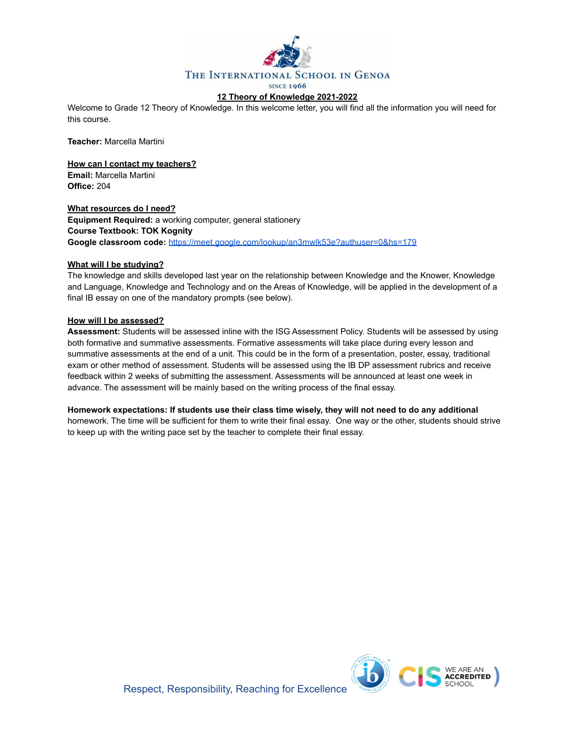

#### **12 Theory of Knowledge 2021-2022**

Welcome to Grade 12 Theory of Knowledge. In this welcome letter, you will find all the information you will need for this course.

**Teacher:** Marcella Martini

**How can I contact my teachers? Email:** Marcella Martini **Office:** 204

**What resources do I need? Equipment Required:** a working computer, general stationery **Course Textbook: TOK Kognity Google classroom code:** <https://meet.google.com/lookup/an3mwlk53e?authuser=0&hs=179>

#### **What will I be studying?**

The knowledge and skills developed last year on the relationship between Knowledge and the Knower, Knowledge and Language, Knowledge and Technology and on the Areas of Knowledge, will be applied in the development of a final IB essay on one of the mandatory prompts (see below).

#### **How will I be assessed?**

**Assessment:** Students will be assessed inline with the ISG Assessment Policy. Students will be assessed by using both formative and summative assessments. Formative assessments will take place during every lesson and summative assessments at the end of a unit. This could be in the form of a presentation, poster, essay, traditional exam or other method of assessment. Students will be assessed using the IB DP assessment rubrics and receive feedback within 2 weeks of submitting the assessment. Assessments will be announced at least one week in advance. The assessment will be mainly based on the writing process of the final essay.

**Homework expectations: If students use their class time wisely, they will not need to do any additional** homework. The time will be sufficient for them to write their final essay. One way or the other, students should strive to keep up with the writing pace set by the teacher to complete their final essay.

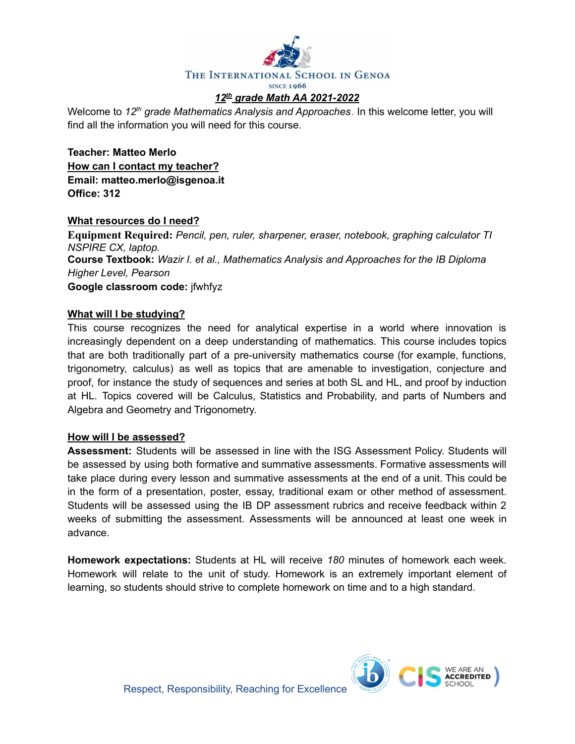

Welcome to *12 th grade Mathematics Analysis and Approaches.* In this welcome letter, you will find all the information you will need for this course.

**Teacher: Matteo Merlo How can I contact my teacher? Email: matteo.merlo@isgenoa.it Office: 312**

## **What resources do I need?**

**Equipment Required:** *Pencil, pen, ruler, sharpener, eraser, notebook, graphing calculator TI NSPIRE CX, laptop.* **Course Textbook:** *Wazir I. et al., Mathematics Analysis and Approaches for the IB Diploma Higher Level, Pearson* **Google classroom code:** jfwhfyz

## **What will I be studying?**

This course recognizes the need for analytical expertise in a world where innovation is increasingly dependent on a deep understanding of mathematics. This course includes topics that are both traditionally part of a pre-university mathematics course (for example, functions, trigonometry, calculus) as well as topics that are amenable to investigation, conjecture and proof, for instance the study of sequences and series at both SL and HL, and proof by induction at HL. Topics covered will be Calculus, Statistics and Probability, and parts of Numbers and Algebra and Geometry and Trigonometry.

## **How will I be assessed?**

**Assessment:** Students will be assessed in line with the ISG Assessment Policy. Students will be assessed by using both formative and summative assessments. Formative assessments will take place during every lesson and summative assessments at the end of a unit. This could be in the form of a presentation, poster, essay, traditional exam or other method of assessment. Students will be assessed using the IB DP assessment rubrics and receive feedback within 2 weeks of submitting the assessment. Assessments will be announced at least one week in advance.

**Homework expectations:** Students at HL will receive *180* minutes of homework each week. Homework will relate to the unit of study. Homework is an extremely important element of learning, so students should strive to complete homework on time and to a high standard.

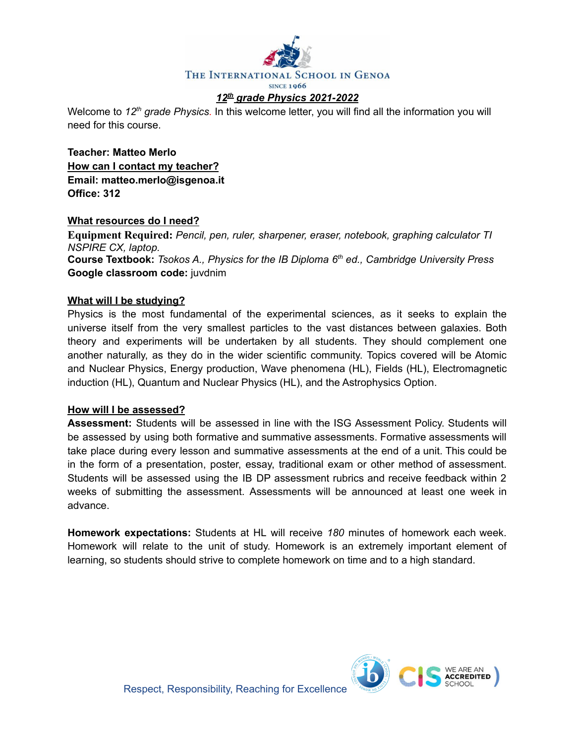

Welcome to 12<sup>th</sup> grade Physics. In this welcome letter, you will find all the information you will need for this course.

**Teacher: Matteo Merlo How can I contact my teacher? Email: matteo.merlo@isgenoa.it Office: 312**

## **What resources do I need?**

**Equipment Required:** *Pencil, pen, ruler, sharpener, eraser, notebook, graphing calculator TI NSPIRE CX, laptop.* **Course Textbook:** *Tsokos A., Physics for the IB Diploma 6 th ed., Cambridge University Press* **Google classroom code:** juvdnim

### **What will I be studying?**

Physics is the most fundamental of the experimental sciences, as it seeks to explain the universe itself from the very smallest particles to the vast distances between galaxies. Both theory and experiments will be undertaken by all students. They should complement one another naturally, as they do in the wider scientific community. Topics covered will be Atomic and Nuclear Physics, Energy production, Wave phenomena (HL), Fields (HL), Electromagnetic induction (HL), Quantum and Nuclear Physics (HL), and the Astrophysics Option.

### **How will I be assessed?**

**Assessment:** Students will be assessed in line with the ISG Assessment Policy. Students will be assessed by using both formative and summative assessments. Formative assessments will take place during every lesson and summative assessments at the end of a unit. This could be in the form of a presentation, poster, essay, traditional exam or other method of assessment. Students will be assessed using the IB DP assessment rubrics and receive feedback within 2 weeks of submitting the assessment. Assessments will be announced at least one week in advance.

**Homework expectations:** Students at HL will receive *180* minutes of homework each week. Homework will relate to the unit of study. Homework is an extremely important element of learning, so students should strive to complete homework on time and to a high standard.